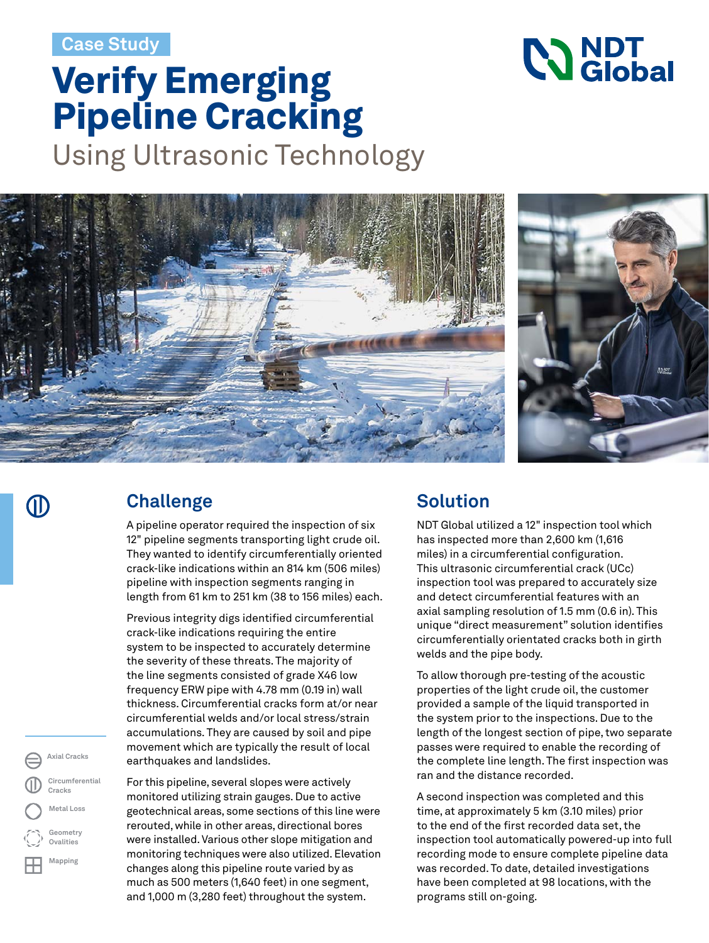**Case Study**

# Verify Emerging Pipeline Cracking

Using Ultrasonic Technology





**NO NDT** 

#### **Challenge**

A pipeline operator required the inspection of six 12" pipeline segments transporting light crude oil. They wanted to identify circumferentially oriented crack-like indications within an 814 km (506 miles) pipeline with inspection segments ranging in length from 61 km to 251 km (38 to 156 miles) each.

Previous integrity digs identified circumferential crack-like indications requiring the entire system to be inspected to accurately determine the severity of these threats. The majority of the line segments consisted of grade X46 low frequency ERW pipe with 4.78 mm (0.19 in) wall thickness. Circumferential cracks form at/or near circumferential welds and/or local stress/strain accumulations. They are caused by soil and pipe movement which are typically the result of local earthquakes and landslides.

For this pipeline, several slopes were actively monitored utilizing strain gauges. Due to active geotechnical areas, some sections of this line were rerouted, while in other areas, directional bores were installed. Various other slope mitigation and monitoring techniques were also utilized. Elevation changes along this pipeline route varied by as much as 500 meters (1,640 feet) in one segment, and 1,000 m (3,280 feet) throughout the system.

### **Solution**

NDT Global utilized a 12" inspection tool which has inspected more than 2,600 km (1,616 miles) in a circumferential configuration. This ultrasonic circumferential crack (UCc) inspection tool was prepared to accurately size and detect circumferential features with an axial sampling resolution of 1.5 mm (0.6 in). This unique "direct measurement" solution identifies circumferentially orientated cracks both in girth welds and the pipe body.

To allow thorough pre-testing of the acoustic properties of the light crude oil, the customer provided a sample of the liquid transported in the system prior to the inspections. Due to the length of the longest section of pipe, two separate passes were required to enable the recording of the complete line length. The first inspection was ran and the distance recorded.

A second inspection was completed and this time, at approximately 5 km (3.10 miles) prior to the end of the first recorded data set, the inspection tool automatically powered-up into full recording mode to ensure complete pipeline data was recorded. To date, detailed investigations have been completed at 98 locations, with the programs still on-going.